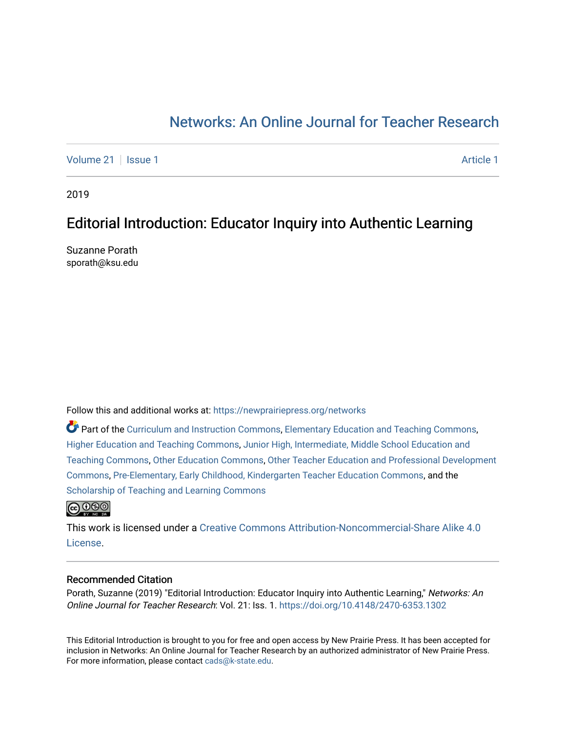# [Networks: An Online Journal for Teacher Research](https://newprairiepress.org/networks)

[Volume 21](https://newprairiepress.org/networks/vol21) | [Issue 1](https://newprairiepress.org/networks/vol21/iss1) [Article 1](https://newprairiepress.org/networks/vol21/iss1/1) Article 1 Article 1 Article 1 Article 1 Article 1 Article 1 Article 1 Article 1

2019

## Editorial Introduction: Educator Inquiry into Authentic Learning

Suzanne Porath sporath@ksu.edu

Follow this and additional works at: [https://newprairiepress.org/networks](https://newprairiepress.org/networks?utm_source=newprairiepress.org%2Fnetworks%2Fvol21%2Fiss1%2F1&utm_medium=PDF&utm_campaign=PDFCoverPages)

Part of the [Curriculum and Instruction Commons,](http://network.bepress.com/hgg/discipline/786?utm_source=newprairiepress.org%2Fnetworks%2Fvol21%2Fiss1%2F1&utm_medium=PDF&utm_campaign=PDFCoverPages) [Elementary Education and Teaching Commons,](http://network.bepress.com/hgg/discipline/805?utm_source=newprairiepress.org%2Fnetworks%2Fvol21%2Fiss1%2F1&utm_medium=PDF&utm_campaign=PDFCoverPages) [Higher Education and Teaching Commons,](http://network.bepress.com/hgg/discipline/806?utm_source=newprairiepress.org%2Fnetworks%2Fvol21%2Fiss1%2F1&utm_medium=PDF&utm_campaign=PDFCoverPages) [Junior High, Intermediate, Middle School Education and](http://network.bepress.com/hgg/discipline/807?utm_source=newprairiepress.org%2Fnetworks%2Fvol21%2Fiss1%2F1&utm_medium=PDF&utm_campaign=PDFCoverPages)  [Teaching Commons](http://network.bepress.com/hgg/discipline/807?utm_source=newprairiepress.org%2Fnetworks%2Fvol21%2Fiss1%2F1&utm_medium=PDF&utm_campaign=PDFCoverPages), [Other Education Commons](http://network.bepress.com/hgg/discipline/811?utm_source=newprairiepress.org%2Fnetworks%2Fvol21%2Fiss1%2F1&utm_medium=PDF&utm_campaign=PDFCoverPages), [Other Teacher Education and Professional Development](http://network.bepress.com/hgg/discipline/810?utm_source=newprairiepress.org%2Fnetworks%2Fvol21%2Fiss1%2F1&utm_medium=PDF&utm_campaign=PDFCoverPages) [Commons](http://network.bepress.com/hgg/discipline/810?utm_source=newprairiepress.org%2Fnetworks%2Fvol21%2Fiss1%2F1&utm_medium=PDF&utm_campaign=PDFCoverPages), [Pre-Elementary, Early Childhood, Kindergarten Teacher Education Commons](http://network.bepress.com/hgg/discipline/808?utm_source=newprairiepress.org%2Fnetworks%2Fvol21%2Fiss1%2F1&utm_medium=PDF&utm_campaign=PDFCoverPages), and the [Scholarship of Teaching and Learning Commons](http://network.bepress.com/hgg/discipline/1328?utm_source=newprairiepress.org%2Fnetworks%2Fvol21%2Fiss1%2F1&utm_medium=PDF&utm_campaign=PDFCoverPages) 



This work is licensed under a [Creative Commons Attribution-Noncommercial-Share Alike 4.0](https://creativecommons.org/licenses/by-nc-sa/4.0/) [License.](https://creativecommons.org/licenses/by-nc-sa/4.0/)

### Recommended Citation

Porath, Suzanne (2019) "Editorial Introduction: Educator Inquiry into Authentic Learning," Networks: An Online Journal for Teacher Research: Vol. 21: Iss. 1.<https://doi.org/10.4148/2470-6353.1302>

This Editorial Introduction is brought to you for free and open access by New Prairie Press. It has been accepted for inclusion in Networks: An Online Journal for Teacher Research by an authorized administrator of New Prairie Press. For more information, please contact [cads@k-state.edu.](mailto:cads@k-state.edu)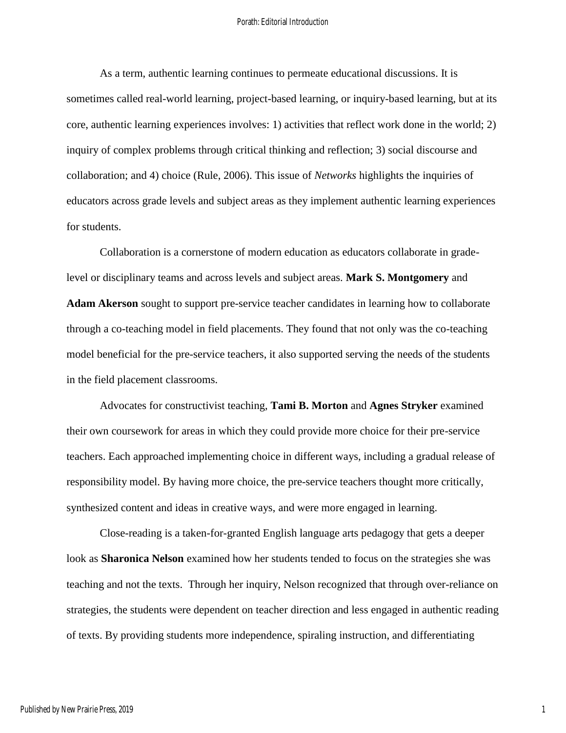#### Porath: Editorial Introduction

As a term, authentic learning continues to permeate educational discussions. It is sometimes called real-world learning, project-based learning, or inquiry-based learning, but at its core, authentic learning experiences involves: 1) activities that reflect work done in the world; 2) inquiry of complex problems through critical thinking and reflection; 3) social discourse and collaboration; and 4) choice (Rule, 2006). This issue of *Networks* highlights the inquiries of educators across grade levels and subject areas as they implement authentic learning experiences for students.

Collaboration is a cornerstone of modern education as educators collaborate in gradelevel or disciplinary teams and across levels and subject areas. **Mark S. Montgomery** and **Adam Akerson** sought to support pre-service teacher candidates in learning how to collaborate through a co-teaching model in field placements. They found that not only was the co-teaching model beneficial for the pre-service teachers, it also supported serving the needs of the students in the field placement classrooms.

Advocates for constructivist teaching, **Tami B. Morton** and **Agnes Stryker** examined their own coursework for areas in which they could provide more choice for their pre-service teachers. Each approached implementing choice in different ways, including a gradual release of responsibility model. By having more choice, the pre-service teachers thought more critically, synthesized content and ideas in creative ways, and were more engaged in learning.

Close-reading is a taken-for-granted English language arts pedagogy that gets a deeper look as **Sharonica Nelson** examined how her students tended to focus on the strategies she was teaching and not the texts. Through her inquiry, Nelson recognized that through over-reliance on strategies, the students were dependent on teacher direction and less engaged in authentic reading of texts. By providing students more independence, spiraling instruction, and differentiating

1